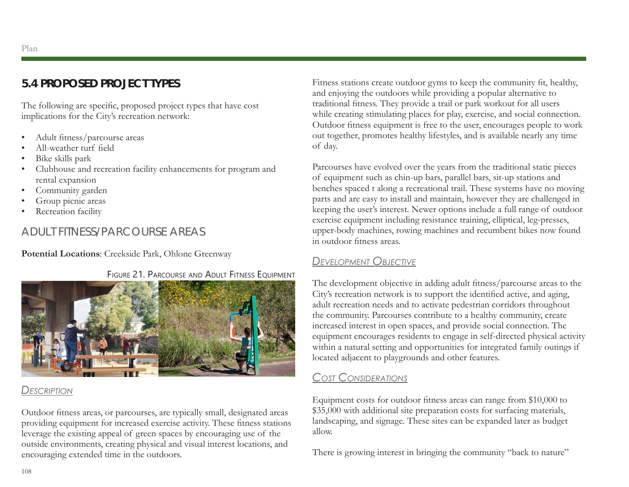Plan

# **5.4 PROPOSED PROJECT TYPES**

The following are specific, proposed project types that have cost implications for the City's recreation network:

- Adult fitness/parcourse areas
- All-weather turf field
- Bike skills park
- Clubhouse and recreation facility enhancements for program and rental expansion
- Community garden
- Group picnic areas
- Recreation facility

# ADULT FITNESS/PARCOURSE AREAS

**Potential Locations**: Creekside Park, Ohlone Greenway



#### *Description*

Outdoor fitness areas, or parcourses, are typically small, designated areas providing equipment for increased exercise activity. These fitness stations leverage the existing appeal of green spaces by encouraging use of the outside environments, creating physical and visual interest locations, and encouraging extended time in the outdoors.

Fitness stations create outdoor gyms to keep the community fit, healthy, and enjoying the outdoors while providing a popular alternative to traditional fitness. They provide a trail or park workout for all users while creating stimulating places for play, exercise, and social connection. Outdoor fitness equipment is free to the user, encourages people to work out together, promotes healthy lifestyles, and is available nearly any time of day.

Parcourses have evolved over the years from the traditional static pieces of equipment such as chin-up bars, parallel bars, sit-up stations and benches spaced t along a recreational trail. These systems have no moving parts and are easy to install and maintain, however they are challenged in keeping the user's interest. Newer options include a full range of outdoor exercise equipment including resistance training, elliptical, leg-presses, upper-body machines, rowing machines and recumbent bikes now found in outdoor fitness areas.

# *Development Objective*

The development objective in adding adult fitness/parcourse areas to the City's recreation network is to support the identified active, and aging, adult recreation needs and to activate pedestrian corridors throughout the community. Parcourses contribute to a healthy community, create increased interest in open spaces, and provide social connection. The equipment encourages residents to engage in self-directed physical activity within a natural setting and opportunities for integrated family outings if located adjacent to playgrounds and other features.

# *Cost Considerations*

Equipment costs for outdoor fitness areas can range from \$10,000 to \$35,000 with additional site preparation costs for surfacing materials, landscaping, and signage. These sites can be expanded later as budget allow.

There is growing interest in bringing the community "back to nature"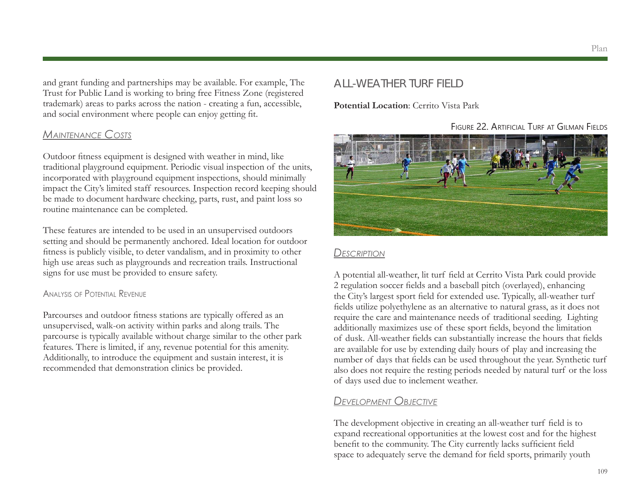and grant funding and partnerships may be available. For example, The Trust for Public Land is working to bring free Fitness Zone (registered trademark) areas to parks across the nation - creating a fun, accessible, and social environment where people can enjoy getting fit.

### *Maintenance Costs*

Outdoor fitness equipment is designed with weather in mind, like traditional playground equipment. Periodic visual inspection of the units, incorporated with playground equipment inspections, should minimally impact the City's limited staff resources. Inspection record keeping should be made to document hardware checking, parts, rust, and paint loss so routine maintenance can be completed.

These features are intended to be used in an unsupervised outdoors setting and should be permanently anchored. Ideal location for outdoor fitness is publicly visible, to deter vandalism, and in proximity to other high use areas such as playgrounds and recreation trails. Instructional signs for use must be provided to ensure safety.

#### Analysis of Potential Revenue

Parcourses and outdoor fitness stations are typically offered as an unsupervised, walk-on activity within parks and along trails. The parcourse is typically available without charge similar to the other park features. There is limited, if any, revenue potential for this amenity. Additionally, to introduce the equipment and sustain interest, it is recommended that demonstration clinics be provided.

# ALL-WEATHER TURF FIELD

#### **Potential Location**: Cerrito Vista Park

Figure 22. Artificial Turf at Gilman Fields



#### *Description*

A potential all-weather, lit turf field at Cerrito Vista Park could provide 2 regulation soccer fields and a baseball pitch (overlayed), enhancing the City's largest sport field for extended use. Typically, all-weather turf fields utilize polyethylene as an alternative to natural grass, as it does not require the care and maintenance needs of traditional seeding. Lighting additionally maximizes use of these sport fields, beyond the limitation of dusk. All-weather fields can substantially increase the hours that fields are available for use by extending daily hours of play and increasing the number of days that fields can be used throughout the year. Synthetic turf also does not require the resting periods needed by natural turf or the loss of days used due to inclement weather.

# *Development Objective*

The development objective in creating an all-weather turf field is to expand recreational opportunities at the lowest cost and for the highest benefit to the community. The City currently lacks sufficient field space to adequately serve the demand for field sports, primarily youth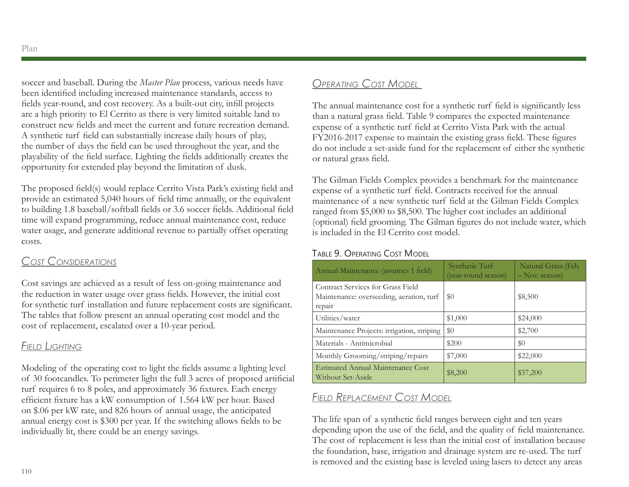soccer and baseball. During the *Master Plan* process, various needs have been identified including increased maintenance standards, access to fields year-round, and cost recovery. As a built-out city, infill projects are a high priority to El Cerrito as there is very limited suitable land to construct new fields and meet the current and future recreation demand. A synthetic turf field can substantially increase daily hours of play, the number of days the field can be used throughout the year, and the playability of the field surface. Lighting the fields additionally creates the opportunity for extended play beyond the limitation of dusk.

The proposed field(s) would replace Cerrito Vista Park's existing field and provide an estimated 5,040 hours of field time annually, or the equivalent to building 1.8 baseball/softball fields or 3.6 soccer fields. Additional field time will expand programming, reduce annual maintenance cost, reduce water usage, and generate additional revenue to partially offset operating costs.

# *Cost Considerations*

Cost savings are achieved as a result of less on-going maintenance and the reduction in water usage over grass fields. However, the initial cost for synthetic turf installation and future replacement costs are significant. The tables that follow present an annual operating cost model and the cost of replacement, escalated over a 10-year period.

# *Field Lighting*

Modeling of the operating cost to light the fields assume a lighting level of 30 footcandles. To perimeter light the full 3 acres of proposed artificial turf requires 6 to 8 poles, and approximately 36 fixtures. Each energy efficient fixture has a kW consumption of 1.564 kW per hour. Based on \$.06 per kW rate, and 826 hours of annual usage, the anticipated annual energy cost is \$300 per year. If the switching allows fields to be individually lit, there could be an energy savings.

# *Operating Cost Model*

The annual maintenance cost for a synthetic turf field is significantly less than a natural grass field. Table 9 compares the expected maintenance expense of a synthetic turf field at Cerrito Vista Park with the actual FY2016-2017 expense to maintain the existing grass field. These figures do not include a set-aside fund for the replacement of either the synthetic or natural grass field.

The Gilman Fields Complex provides a benchmark for the maintenance expense of a synthetic turf field. Contracts received for the annual maintenance of a new synthetic turf field at the Gilman Fields Complex ranged from \$5,000 to \$8,500. The higher cost includes an additional (optional) field grooming. The Gilman figures do not include water, which is included in the El Cerrito cost model.

### Table 9. Operating Cost Model

| Annual Maintenance (assumes 1 field)                                                    | Synthetic Turf<br>(year-round season) | Natural Grass (Feb.<br>$-$ Nov. season) |
|-----------------------------------------------------------------------------------------|---------------------------------------|-----------------------------------------|
| Contract Services for Grass Field<br>Maintenance: overseeding, aeration, turf<br>repair | \$0                                   | \$8,500                                 |
| Utilities/water                                                                         | \$1,000                               | \$24,000                                |
| Maintenance Projects: irrigation, striping                                              | \$0                                   | \$2,700                                 |
| Materials - Antimicrobial                                                               | \$200                                 | \$0                                     |
| Monthly Grooming/striping/repairs                                                       | \$7,000                               | \$22,000                                |
| <b>Estimated Annual Maintenance Cost</b><br>Without Set-Aside                           | \$8,200                               | \$57,200                                |

# *Field Replacement Cost Model*

The life span of a synthetic field ranges between eight and ten years depending upon the use of the field, and the quality of field maintenance. The cost of replacement is less than the initial cost of installation because the foundation, base, irrigation and drainage system are re-used. The turf is removed and the existing base is leveled using lasers to detect any areas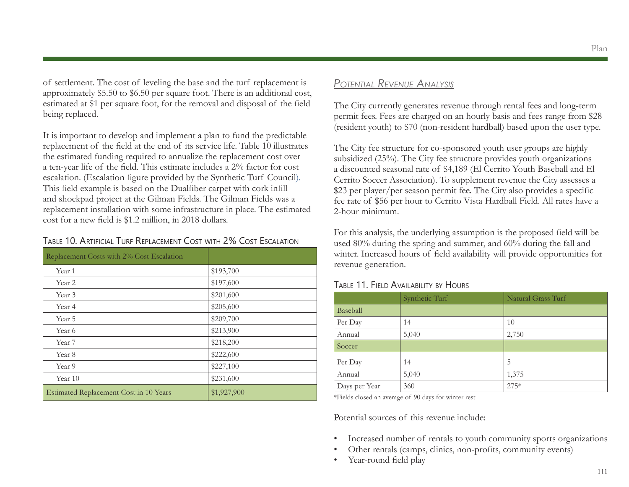of settlement. The cost of leveling the base and the turf replacement is approximately \$5.50 to \$6.50 per square foot. There is an additional cost, estimated at \$1 per square foot, for the removal and disposal of the field being replaced.

It is important to develop and implement a plan to fund the predictable replacement of the field at the end of its service life. Table 10 illustrates the estimated funding required to annualize the replacement cost over a ten-year life of the field. This estimate includes a 2% factor for cost escalation. (Escalation figure provided by the Synthetic Turf Council). This field example is based on the Dualfiber carpet with cork infill and shockpad project at the Gilman Fields. The Gilman Fields was a replacement installation with some infrastructure in place. The estimated cost for a new field is \$1.2 million, in 2018 dollars.

#### Table 10. Artificial Turf Replacement Cost with 2% Cost Escalation

| Replacement Costs with 2% Cost Escalation |             |
|-------------------------------------------|-------------|
| Year 1                                    | \$193,700   |
| Year 2                                    | \$197,600   |
| Year 3                                    | \$201,600   |
| Year 4                                    | \$205,600   |
| Year 5                                    | \$209,700   |
| Year 6                                    | \$213,900   |
| Year 7                                    | \$218,200   |
| Year 8                                    | \$222,600   |
| Year 9                                    | \$227,100   |
| Year 10                                   | \$231,600   |
| Estimated Replacement Cost in 10 Years    | \$1,927,900 |

### *Potential Revenue Analysis*

The City currently generates revenue through rental fees and long-term permit fees. Fees are charged on an hourly basis and fees range from \$28 (resident youth) to \$70 (non-resident hardball) based upon the user type.

The City fee structure for co-sponsored youth user groups are highly subsidized (25%). The City fee structure provides youth organizations a discounted seasonal rate of \$4,189 (El Cerrito Youth Baseball and El Cerrito Soccer Association). To supplement revenue the City assesses a \$23 per player/per season permit fee. The City also provides a specific fee rate of \$56 per hour to Cerrito Vista Hardball Field. All rates have a 2-hour minimum.

For this analysis, the underlying assumption is the proposed field will be used 80% during the spring and summer, and 60% during the fall and winter. Increased hours of field availability will provide opportunities for revenue generation.

#### Table 11. Field Availability by Hours

|               | Synthetic Turf | Natural Grass Turf |
|---------------|----------------|--------------------|
| Baseball      |                |                    |
| Per Day       | 14             | 10                 |
| Annual        | 5,040          | 2,750              |
| Soccer        |                |                    |
| Per Day       | 14             | 5                  |
| Annual        | 5,040          | 1,375              |
| Days per Year | 360            | $275*$             |

\*Fields closed an average of 90 days for winter rest

Potential sources of this revenue include:

- Increased number of rentals to youth community sports organizations
- Other rentals (camps, clinics, non-profits, community events)
- Year-round field play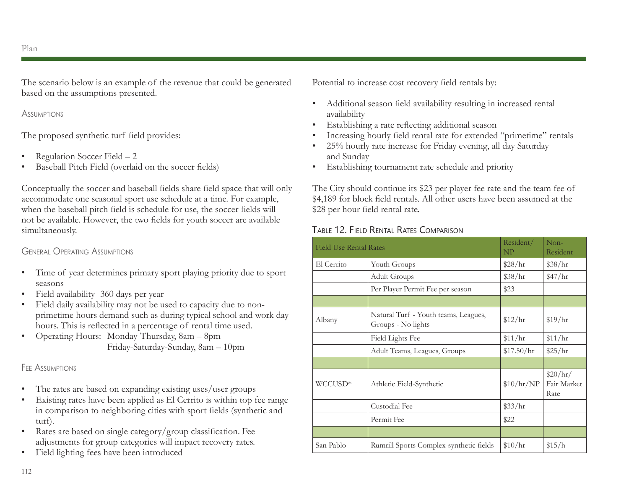The scenario below is an example of the revenue that could be generated based on the assumptions presented.

#### **Assimetions**

The proposed synthetic turf field provides:

- Regulation Soccer Field 2
- Baseball Pitch Field (overlaid on the soccer fields)

Conceptually the soccer and baseball fields share field space that will only accommodate one seasonal sport use schedule at a time. For example, when the baseball pitch field is schedule for use, the soccer fields will not be available. However, the two fields for youth soccer are available simultaneously.

#### General Operating Assumptions

- Time of year determines primary sport playing priority due to sport seasons
- Field availability-360 days per year
- Field daily availability may not be used to capacity due to nonprimetime hours demand such as during typical school and work day hours. This is reflected in a percentage of rental time used.
- Operating Hours: Monday-Thursday, 8am 8pm Friday-Saturday-Sunday, 8am – 10pm

#### FFE ASSUMPTIONS

- The rates are based on expanding existing uses/user groups
- Existing rates have been applied as El Cerrito is within top fee range in comparison to neighboring cities with sport fields (synthetic and turf).
- Rates are based on single category/group classification. Fee adjustments for group categories will impact recovery rates.
- Field lighting fees have been introduced

Potential to increase cost recovery field rentals by:

- Additional season field availability resulting in increased rental availability
- Establishing a rate reflecting additional season
- Increasing hourly field rental rate for extended "primetime" rentals
- 25% hourly rate increase for Friday evening, all day Saturday and Sunday
- Establishing tournament rate schedule and priority

The City should continue its \$23 per player fee rate and the team fee of \$4,189 for block field rentals. All other users have been assumed at the \$28 per hour field rental rate.

### Table 12. Field Rental Rates Comparison

| <b>Field Use Rental Rates</b> |                                                            | Resident/<br>NP  | $Non-$<br>Resident              |
|-------------------------------|------------------------------------------------------------|------------------|---------------------------------|
| El Cerrito                    | Youth Groups                                               | \$28/hr          | \$38/hr                         |
|                               | <b>Adult Groups</b>                                        | \$38/hr          | $\frac{$47}{hr}$                |
|                               | Per Player Permit Fee per season                           | \$23             |                                 |
|                               |                                                            |                  |                                 |
| Albany                        | Natural Turf - Youth teams, Leagues,<br>Groups - No lights | \$12/hr          | \$19/hr                         |
|                               | Field Lights Fee                                           | \$11/hr          | \$11/hr                         |
|                               | Adult Teams, Leagues, Groups                               | \$17.50/hr       | \$25/hr                         |
|                               |                                                            |                  |                                 |
| WCCUSD*                       | Athletic Field-Synthetic                                   | \$10/hr/NP       | \$20/hr/<br>Fair Market<br>Rate |
|                               | Custodial Fee                                              | $\frac{$33}{hr}$ |                                 |
|                               | Permit Fee                                                 | \$22             |                                 |
|                               |                                                            |                  |                                 |
| San Pablo                     | Rumrill Sports Complex-synthetic fields                    | \$10/hr          | \$15/h                          |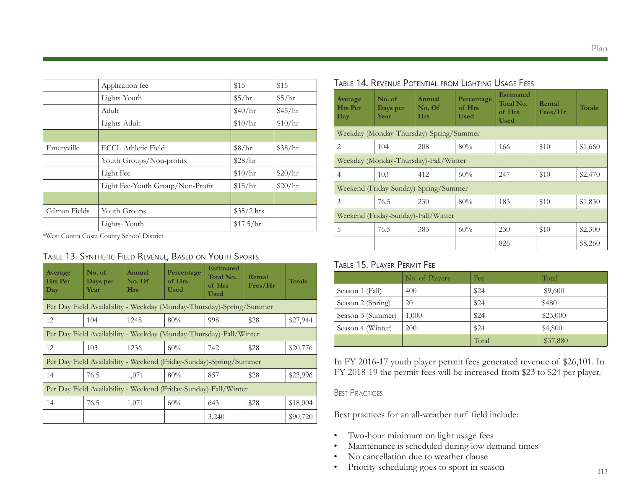|               | Application fee                  | \$15        | \$15    |
|---------------|----------------------------------|-------------|---------|
|               | Lights-Youth                     | \$5/hr      | \$5/hr  |
|               | Adult                            | \$40/hr     | \$45/hr |
|               | Lights-Adult                     | \$10/hr     | \$10/hr |
|               |                                  |             |         |
| Emeryville    | <b>ECCL Athletic Field</b>       | \$8/hr      | \$38/hr |
|               | Youth Groups/Non-profits         | \$28/hr     |         |
|               | Light Fee                        | \$10/hr     | \$20/hr |
|               | Light Fee-Youth Group/Non-Profit | \$15/hr     | \$20/hr |
|               |                                  |             |         |
| Gilman Fields | Youth Groups                     | $$35/2$ hrs |         |
|               | Lights-Youth                     | \$17.5/hr   |         |

\*West Contra Costa County School District

#### Table 13. Synthetic Field Revenue, Based on Youth Sports

| Average<br><b>Hrs</b> Per<br>Day                                 | No. of<br>Days per<br>Year                                         | Annual<br>No. Of<br><b>Hrs</b>                                       | Percentage<br>of Hrs<br><b>Used</b> | <b>Estimated</b><br>Total No.<br>of Hrs<br><b>Used</b> | Rental<br>Fees/Hr | <b>Totals</b> |
|------------------------------------------------------------------|--------------------------------------------------------------------|----------------------------------------------------------------------|-------------------------------------|--------------------------------------------------------|-------------------|---------------|
|                                                                  |                                                                    | Per Day Field Availability - Weekday (Monday-Thursday)-Spring/Summer |                                     |                                                        |                   |               |
| 12                                                               | 104                                                                | 1248                                                                 | 80%                                 | 998                                                    | \$28              | \$27,944      |
|                                                                  | Per Day Field Availability - Weekday (Monday-Thursday)-Fall/Winter |                                                                      |                                     |                                                        |                   |               |
| 12                                                               | 103                                                                | 1236                                                                 | 60%                                 | 742                                                    | \$28              | \$20,776      |
|                                                                  |                                                                    | Per Day Field Availability - Weekend (Friday-Sunday)-Spring/Summer   |                                     |                                                        |                   |               |
| 14                                                               | 76.5                                                               | 1,071                                                                | 80%                                 | 857                                                    | \$28              | \$23,996      |
| Per Day Field Availability - Weekend (Friday-Sunday)-Fall/Winter |                                                                    |                                                                      |                                     |                                                        |                   |               |
| 14                                                               | 76.5                                                               | 1,071                                                                | 60%                                 | 643                                                    | \$28              | \$18,004      |
|                                                                  |                                                                    |                                                                      |                                     | 3,240                                                  |                   | \$90,720      |

| Average<br>Hrs Per<br>Day | No. of<br>Days per<br>Year              | Annual<br>No. Of<br><b>Hrs</b> | Percentage<br>of Hrs<br>Used | <b>Estimated</b><br>Total No.<br>of Hrs<br><b>Used</b> | Rental<br>Fees/Hr | <b>Totals</b> |
|---------------------------|-----------------------------------------|--------------------------------|------------------------------|--------------------------------------------------------|-------------------|---------------|
|                           | Weekday (Monday-Thursday)-Spring/Summer |                                |                              |                                                        |                   |               |
| 2                         | 104                                     | 208                            | 80%                          | 166                                                    | \$10              | \$1,660       |
|                           | Weekday (Monday-Thursday)-Fall/Winter   |                                |                              |                                                        |                   |               |
| 4                         | 103                                     | 412                            | 60%                          | 247                                                    | \$10              | \$2,470       |
|                           | Weekend (Friday-Sunday)-Spring/Summer   |                                |                              |                                                        |                   |               |
| 3                         | 76.5                                    | 230                            | 80%                          | 183                                                    | \$10              | \$1,830       |
|                           | Weekend (Friday-Sunday)-Fall/Winter     |                                |                              |                                                        |                   |               |
| 5                         | 76.5                                    | 383                            | 60%                          | 230                                                    | \$10              | \$2,300       |

### Table 14. Revenue Potential from Lighting Usage Fees

### Table 15. Player Permit Fee

|                   | No. of Players | Fee   | Total    |
|-------------------|----------------|-------|----------|
| Season 1 (Fall)   | 400            | \$24  | \$9,600  |
| Season 2 (Spring) | 20             | \$24  | \$480    |
| Season 3 (Summer) | 1,000          | \$24  | \$23,000 |
| Season 4 (Winter) | 200            | \$24  | \$4,800  |
|                   |                | Total | \$37,880 |

In FY 2016-17 youth player permit fees generated revenue of \$26,101. In FY 2018-19 the permit fees will be increased from \$23 to \$24 per player.

#### Best Practices

Best practices for an all-weather turf field include:

- Two-hour minimum on light usage fees
- Maintenance is scheduled during low demand times
- No cancellation due to weather clause
- Priority scheduling goes to sport in season

826 | \$8,260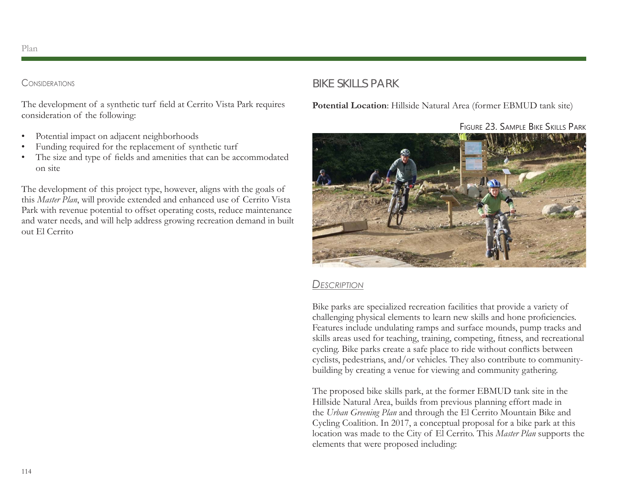#### **CONSIDERATIONS**

The development of a synthetic turf field at Cerrito Vista Park requires consideration of the following:

- Potential impact on adjacent neighborhoods
- Funding required for the replacement of synthetic turf
- The size and type of fields and amenities that can be accommodated on site

The development of this project type, however, aligns with the goals of this *Master Plan*, will provide extended and enhanced use of Cerrito Vista Park with revenue potential to offset operating costs, reduce maintenance and water needs, and will help address growing recreation demand in built out El Cerrito

# BIKE SKILLS PARK

**Potential Location**: Hillside Natural Area (former EBMUD tank site)

Figure 23. Sample Bike Skills Park



# *Description*

Bike parks are specialized recreation facilities that provide a variety of challenging physical elements to learn new skills and hone proficiencies. Features include undulating ramps and surface mounds, pump tracks and skills areas used for teaching, training, competing, fitness, and recreational cycling. Bike parks create a safe place to ride without conflicts between cyclists, pedestrians, and/or vehicles. They also contribute to communitybuilding by creating a venue for viewing and community gathering.

The proposed bike skills park, at the former EBMUD tank site in the Hillside Natural Area, builds from previous planning effort made in the *Urban Greening Plan* and through the El Cerrito Mountain Bike and Cycling Coalition. In 2017, a conceptual proposal for a bike park at this location was made to the City of El Cerrito. This *Master Plan* supports the elements that were proposed including: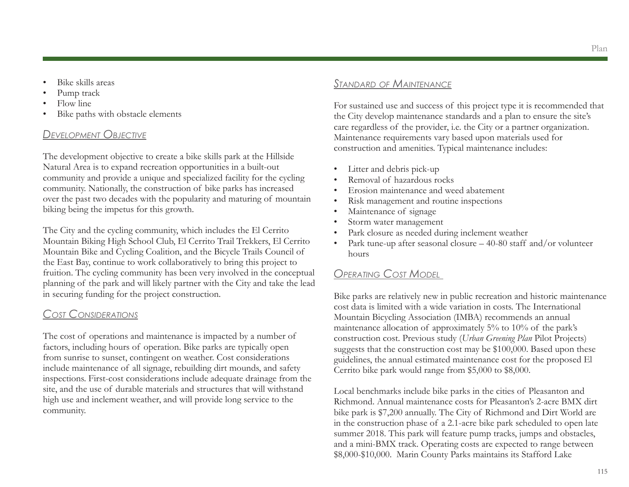- Bike skills areas
- Pump track
- Flow line
- Bike paths with obstacle elements

# *Development Objective*

The development objective to create a bike skills park at the Hillside Natural Area is to expand recreation opportunities in a built-out community and provide a unique and specialized facility for the cycling community. Nationally, the construction of bike parks has increased over the past two decades with the popularity and maturing of mountain biking being the impetus for this growth.

The City and the cycling community, which includes the El Cerrito Mountain Biking High School Club, El Cerrito Trail Trekkers, El Cerrito Mountain Bike and Cycling Coalition, and the Bicycle Trails Council of the East Bay, continue to work collaboratively to bring this project to fruition. The cycling community has been very involved in the conceptual planning of the park and will likely partner with the City and take the lead in securing funding for the project construction.

# *Cost Considerations*

The cost of operations and maintenance is impacted by a number of factors, including hours of operation. Bike parks are typically open from sunrise to sunset, contingent on weather. Cost considerations include maintenance of all signage, rebuilding dirt mounds, and safety inspections. First-cost considerations include adequate drainage from the site, and the use of durable materials and structures that will withstand high use and inclement weather, and will provide long service to the community.

# *Standard of Maintenance*

For sustained use and success of this project type it is recommended that the City develop maintenance standards and a plan to ensure the site's care regardless of the provider, i.e. the City or a partner organization. Maintenance requirements vary based upon materials used for construction and amenities. Typical maintenance includes:

- Litter and debris pick-up
- Removal of hazardous rocks
- Erosion maintenance and weed abatement
- Risk management and routine inspections
- Maintenance of signage
- Storm water management
- Park closure as needed during inclement weather
- Park tune-up after seasonal closure  $-40-80$  staff and/or volunteer hours

# *Operating Cost Model*

Bike parks are relatively new in public recreation and historic maintenance cost data is limited with a wide variation in costs. The International Mountain Bicycling Association (IMBA) recommends an annual maintenance allocation of approximately 5% to 10% of the park's construction cost. Previous study (*Urban Greening Plan* Pilot Projects) suggests that the construction cost may be \$100,000. Based upon these guidelines, the annual estimated maintenance cost for the proposed El Cerrito bike park would range from \$5,000 to \$8,000.

Local benchmarks include bike parks in the cities of Pleasanton and Richmond. Annual maintenance costs for Pleasanton's 2-acre BMX dirt bike park is \$7,200 annually. The City of Richmond and Dirt World are in the construction phase of a 2.1-acre bike park scheduled to open late summer 2018. This park will feature pump tracks, jumps and obstacles, and a mini-BMX track. Operating costs are expected to range between \$8,000-\$10,000. Marin County Parks maintains its Stafford Lake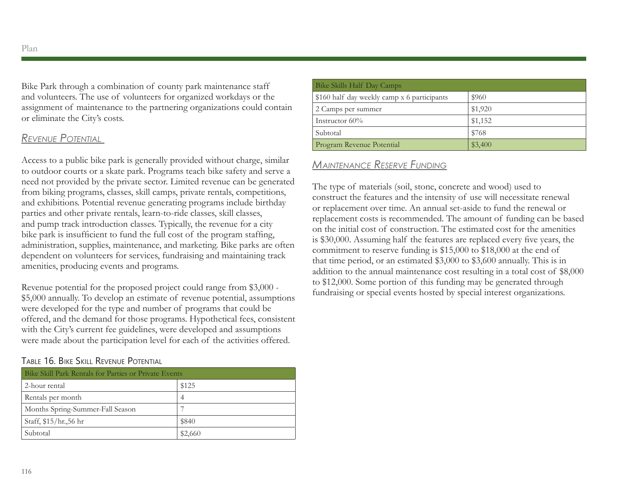Bike Park through a combination of county park maintenance staff and volunteers. The use of volunteers for organized workdays or the assignment of maintenance to the partnering organizations could contain or eliminate the City's costs.

# *Revenue Potential*

Access to a public bike park is generally provided without charge, similar to outdoor courts or a skate park. Programs teach bike safety and serve a need not provided by the private sector. Limited revenue can be generated from biking programs, classes, skill camps, private rentals, competitions, and exhibitions. Potential revenue generating programs include birthday parties and other private rentals, learn-to-ride classes, skill classes, and pump track introduction classes. Typically, the revenue for a city bike park is insufficient to fund the full cost of the program staffing, administration, supplies, maintenance, and marketing. Bike parks are often dependent on volunteers for services, fundraising and maintaining track amenities, producing events and programs.

Revenue potential for the proposed project could range from \$3,000 - \$5,000 annually. To develop an estimate of revenue potential, assumptions were developed for the type and number of programs that could be offered, and the demand for those programs. Hypothetical fees, consistent with the City's current fee guidelines, were developed and assumptions were made about the participation level for each of the activities offered.

#### Table 16. Bike Skill Revenue Potential

| Bike Skill Park Rentals for Parties or Private Events |         |  |
|-------------------------------------------------------|---------|--|
| 2-hour rental                                         | \$125   |  |
| Rentals per month                                     | 4       |  |
| Months Spring-Summer-Fall Season                      |         |  |
| Staff, \$15/hr.,56 hr                                 | \$840   |  |
| Subtotal                                              | \$2,660 |  |

| Bike Skills Half Day Camps                  |         |
|---------------------------------------------|---------|
| \$160 half day weekly camp x 6 participants | \$960   |
| 2 Camps per summer                          | \$1,920 |
| Instructor $60\%$                           | \$1,152 |
| Subtotal                                    | \$768   |
| Program Revenue Potential                   | \$3,400 |

# *Maintenance Reserve Funding*

The type of materials (soil, stone, concrete and wood) used to construct the features and the intensity of use will necessitate renewal or replacement over time. An annual set-aside to fund the renewal or replacement costs is recommended. The amount of funding can be based on the initial cost of construction. The estimated cost for the amenities is \$30,000. Assuming half the features are replaced every five years, the commitment to reserve funding is \$15,000 to \$18,000 at the end of that time period, or an estimated \$3,000 to \$3,600 annually. This is in addition to the annual maintenance cost resulting in a total cost of \$8,000 to \$12,000. Some portion of this funding may be generated through fundraising or special events hosted by special interest organizations.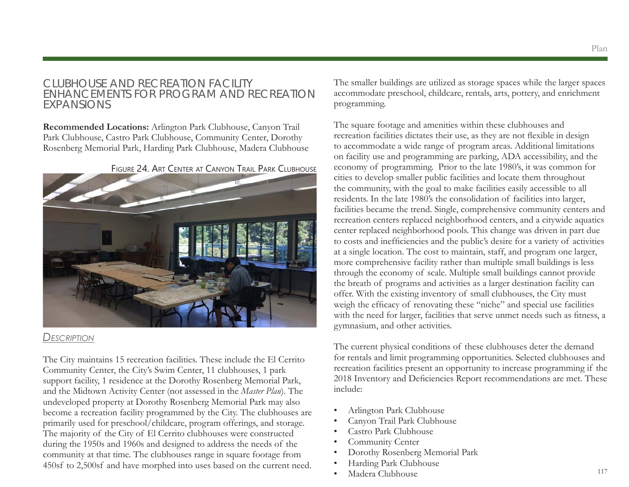### CLUBHOUSE AND RECREATION FACILITY ENHANCEMENTS FOR PROGRAM AND RECREATION EXPANSIONS

**Recommended Locations:** Arlington Park Clubhouse, Canyon Trail Park Clubhouse, Castro Park Clubhouse, Community Center, Dorothy Rosenberg Memorial Park, Harding Park Clubhouse, Madera Clubhouse





#### *Description*

The City maintains 15 recreation facilities. These include the El Cerrito Community Center, the City's Swim Center, 11 clubhouses, 1 park support facility, 1 residence at the Dorothy Rosenberg Memorial Park, and the Midtown Activity Center (not assessed in the *Master Plan*). The undeveloped property at Dorothy Rosenberg Memorial Park may also become a recreation facility programmed by the City. The clubhouses are primarily used for preschool/childcare, program offerings, and storage. The majority of the City of El Cerrito clubhouses were constructed during the 1950s and 1960s and designed to address the needs of the community at that time. The clubhouses range in square footage from 450sf to 2,500sf and have morphed into uses based on the current need.

The smaller buildings are utilized as storage spaces while the larger spaces accommodate preschool, childcare, rentals, arts, pottery, and enrichment programming.

The square footage and amenities within these clubhouses and recreation facilities dictates their use, as they are not flexible in design to accommodate a wide range of program areas. Additional limitations on facility use and programming are parking, ADA accessibility, and the economy of programming. Prior to the late 1980's, it was common for cities to develop smaller public facilities and locate them throughout the community, with the goal to make facilities easily accessible to all residents. In the late 1980's the consolidation of facilities into larger, facilities became the trend. Single, comprehensive community centers and recreation centers replaced neighborhood centers, and a citywide aquatics center replaced neighborhood pools. This change was driven in part due to costs and inefficiencies and the public's desire for a variety of activities at a single location. The cost to maintain, staff, and program one larger, more comprehensive facility rather than multiple small buildings is less through the economy of scale. Multiple small buildings cannot provide the breath of programs and activities as a larger destination facility can offer. With the existing inventory of small clubhouses, the City must weigh the efficacy of renovating these "niche" and special use facilities with the need for larger, facilities that serve unmet needs such as fitness, a gymnasium, and other activities.

The current physical conditions of these clubhouses deter the demand for rentals and limit programming opportunities. Selected clubhouses and recreation facilities present an opportunity to increase programming if the 2018 Inventory and Deficiencies Report recommendations are met. These include:

- Arlington Park Clubhouse
- Canyon Trail Park Clubhouse
- Castro Park Clubhouse
- Community Center
- Dorothy Rosenberg Memorial Park
- Harding Park Clubhouse
- Madera Clubhouse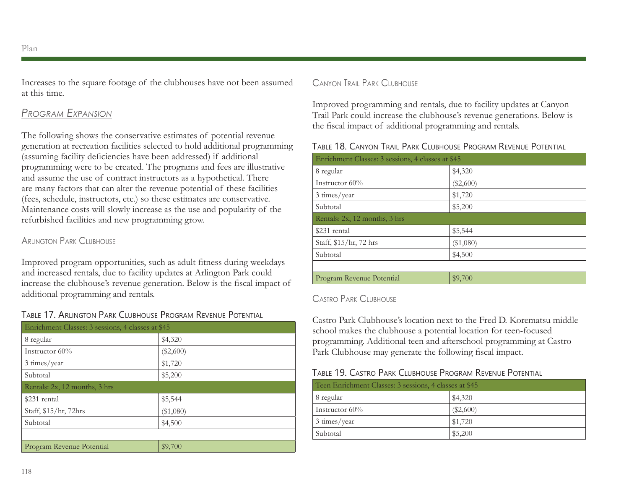Increases to the square footage of the clubhouses have not been assumed at this time.

# *Program Expansion*

The following shows the conservative estimates of potential revenue generation at recreation facilities selected to hold additional programming (assuming facility deficiencies have been addressed) if additional programming were to be created. The programs and fees are illustrative and assume the use of contract instructors as a hypothetical. There are many factors that can alter the revenue potential of these facilities (fees, schedule, instructors, etc.) so these estimates are conservative. Maintenance costs will slowly increase as the use and popularity of the refurbished facilities and new programming grow.

#### Arlington Park Clubhouse

Improved program opportunities, such as adult fitness during weekdays and increased rentals, due to facility updates at Arlington Park could increase the clubhouse's revenue generation. Below is the fiscal impact of additional programming and rentals.

#### Table 17. Arlington Park Clubhouse Program Revenue Potential

| Enrichment Classes: 3 sessions, 4 classes at \$45 |             |  |
|---------------------------------------------------|-------------|--|
| 8 regular                                         | \$4,320     |  |
| Instructor $60\%$                                 | $(\$2,600)$ |  |
| 3 times/year                                      | \$1,720     |  |
| Subtotal                                          | \$5,200     |  |
| Rentals: 2x, 12 months, 3 hrs                     |             |  |
| \$231 rental                                      | \$5,544     |  |
| Staff, \$15/hr, 72hrs                             | $(\$1,080)$ |  |
| Subtotal                                          | \$4,500     |  |
|                                                   |             |  |
| Program Revenue Potential                         | \$9,700     |  |

#### Canyon Trail Park Clubhouse

Improved programming and rentals, due to facility updates at Canyon Trail Park could increase the clubhouse's revenue generations. Below is the fiscal impact of additional programming and rentals.

#### Table 18. Canyon Trail Park Clubhouse Program Revenue Potential

| Enrichment Classes: 3 sessions, 4 classes at \$45 |             |  |
|---------------------------------------------------|-------------|--|
| 8 regular                                         | \$4,320     |  |
| Instructor $60\%$                                 | $(\$2,600)$ |  |
| 3 times/year                                      | \$1,720     |  |
| Subtotal                                          | \$5,200     |  |
| Rentals: 2x, 12 months, 3 hrs                     |             |  |
| \$231 rental                                      | \$5,544     |  |
| Staff, \$15/hr, 72 hrs                            | $(\$1,080)$ |  |
| Subtotal                                          | \$4,500     |  |
|                                                   |             |  |
| Program Revenue Potential                         | \$9,700     |  |

#### Castro Park Clubhouse

Castro Park Clubhouse's location next to the Fred D. Korematsu middle school makes the clubhouse a potential location for teen-focused programming. Additional teen and afterschool programming at Castro Park Clubhouse may generate the following fiscal impact.

#### Table 19. Castro Park Clubhouse Program Revenue Potential

| Teen Enrichment Classes: 3 sessions, 4 classes at \$45 |             |
|--------------------------------------------------------|-------------|
| 8 regular                                              | \$4,320     |
| Instructor $60\%$                                      | $(\$2,600)$ |
| 3 times/year                                           | \$1,720     |
| Subtotal                                               | \$5,200     |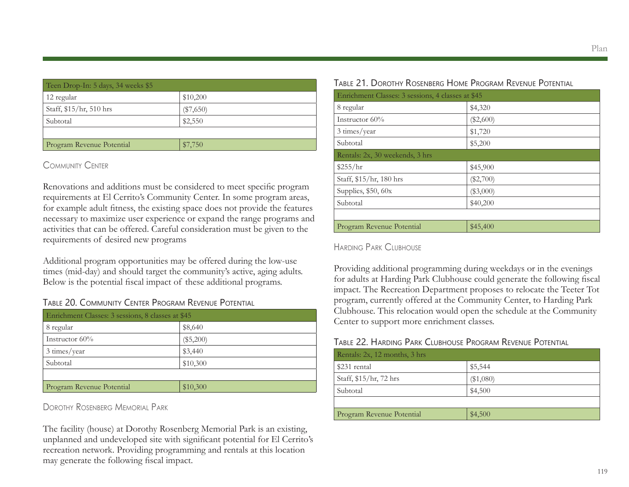| Teen Drop-In: 5 days, 34 weeks \$5 |             |  |
|------------------------------------|-------------|--|
| 12 regular                         | \$10,200    |  |
| Staff, \$15/hr, 510 hrs            | $(\$7,650)$ |  |
| Subtotal                           | \$2,550     |  |
|                                    |             |  |
| Program Revenue Potential          | \$7,750     |  |

#### Community Center

Renovations and additions must be considered to meet specific program requirements at El Cerrito's Community Center. In some program areas, for example adult fitness, the existing space does not provide the features necessary to maximize user experience or expand the range programs and activities that can be offered. Careful consideration must be given to the requirements of desired new programs

Additional program opportunities may be offered during the low-use times (mid-day) and should target the community's active, aging adults. Below is the potential fiscal impact of these additional programs.

### Table 20. Community Center Program Revenue Potential

| Enrichment Classes: 3 sessions, 8 classes at \$45 |             |  |
|---------------------------------------------------|-------------|--|
| 8 regular                                         | \$8,640     |  |
| Instructor $60\%$                                 | $(\$5,200)$ |  |
| 3 times/year                                      | \$3,440     |  |
| Subtotal                                          | \$10,300    |  |
|                                                   |             |  |
| Program Revenue Potential                         | \$10,300    |  |

Dorothy Rosenberg Memorial Park

The facility (house) at Dorothy Rosenberg Memorial Park is an existing, unplanned and undeveloped site with significant potential for El Cerrito's recreation network. Providing programming and rentals at this location may generate the following fiscal impact.

|                                                   | TIOULINDERUTTIUME ITRUURIMITIEVENUE ITUTEINTIAE |  |
|---------------------------------------------------|-------------------------------------------------|--|
| Enrichment Classes: 3 sessions, 4 classes at \$45 |                                                 |  |
| 8 regular                                         | \$4,320                                         |  |
| Instructor $60\%$                                 | $(\$2,600)$                                     |  |
| 3 times/year                                      | \$1,720                                         |  |
| Subtotal                                          | \$5,200                                         |  |
| Rentals: 2x, 30 weekends, 3 hrs                   |                                                 |  |
| \$255/hr                                          | \$45,900                                        |  |
| Staff, \$15/hr, 180 hrs                           | $(\$2,700)$                                     |  |
| Supplies, $$50, 60x$                              | $(\$3,000)$                                     |  |
| Subtotal                                          | \$40,200                                        |  |
|                                                   |                                                 |  |
| Program Revenue Potential                         | \$45,400                                        |  |

Table 21. Dorothy Rosenberg Home Program Revenue Potential

Harding Park Clubhouse

Providing additional programming during weekdays or in the evenings for adults at Harding Park Clubhouse could generate the following fiscal impact. The Recreation Department proposes to relocate the Teeter Tot program, currently offered at the Community Center, to Harding Park Clubhouse. This relocation would open the schedule at the Community Center to support more enrichment classes.

#### Table 22. Harding Park Clubhouse Program Revenue Potential

| Rentals: 2x, 12 months, 3 hrs |           |
|-------------------------------|-----------|
| \$231 rental                  | \$5,544   |
| Staff, \$15/hr, 72 hrs        | (\$1,080) |
| Subtotal                      | \$4,500   |
|                               |           |
| Program Revenue Potential     | \$4,500   |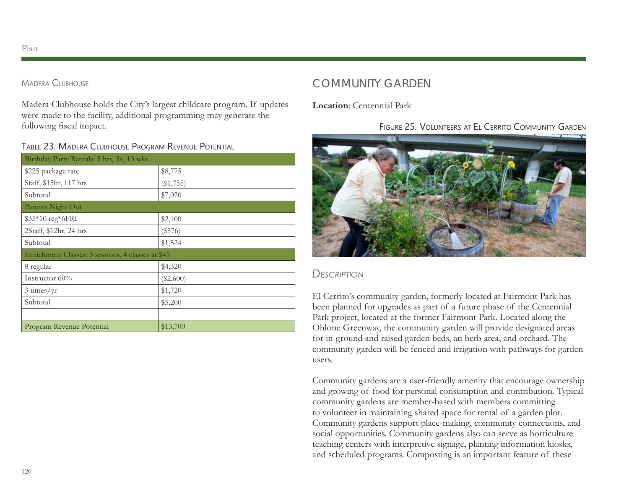#### Madera Clubhouse

Madera Clubhouse holds the City's largest childcare program. If updates were made to the facility, additional programming may generate the following fiscal impact.

#### Table 23. Madera Clubhouse Program Revenue Potential

| Birthday Party Rentals: 3 hrs, 3x, 13 wks         |             |  |
|---------------------------------------------------|-------------|--|
| \$225 package rate                                | \$8,775     |  |
| Staff, \$15hr, 117 hrs                            | (\$1,755)   |  |
| Subtotal                                          | \$7,020     |  |
| Parents Night Out                                 |             |  |
| \$35*10 reg*6FRI                                  | \$2,100     |  |
| 2Staff, \$12hr, 24 hrs                            | (\$576)     |  |
| Subtotal                                          | \$1,524     |  |
| Enrichment Classes: 3 sessions, 4 classes at \$45 |             |  |
| 8 regular                                         | \$4,320     |  |
| Instructor $60\%$                                 | $(\$2,600)$ |  |
| $3 \times /yr$                                    | \$1,720     |  |
| Subtotal                                          | \$5,200     |  |
|                                                   |             |  |
| Program Revenue Potential                         | \$13,700    |  |

# COMMUNITY GARDEN

**Location**: Centennial Park

# Figure 25. Volunteers at El Cerrito Community Garden



### *Description*

El Cerrito's community garden, formerly located at Fairmont Park has been planned for upgrades as part of a future phase of the Centennial Park project, located at the former Fairmont Park. Located along the Ohlone Greenway, the community garden will provide designated areas for in-ground and raised garden beds, an herb area, and orchard. The community garden will be fenced and irrigation with pathways for garden users.

Community gardens are a user-friendly amenity that encourage ownership and growing of food for personal consumption and contribution. Typical community gardens are member-based with members committing to volunteer in maintaining shared space for rental of a garden plot. Community gardens support place-making, community connections, and social opportunities. Community gardens also can serve as horticulture teaching centers with interpretive signage, planting information kiosks, and scheduled programs. Composting is an important feature of these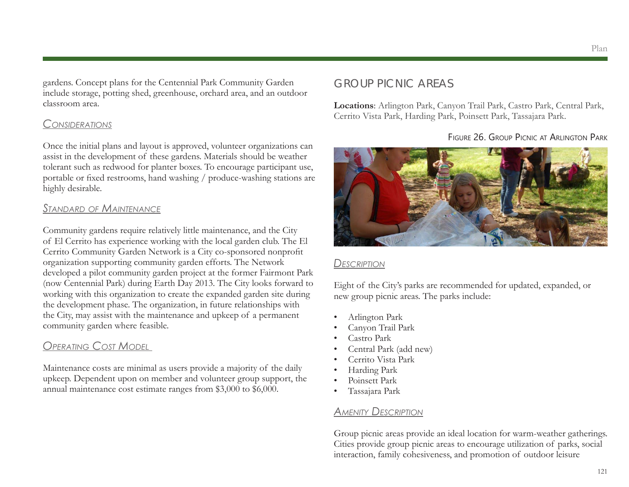gardens. Concept plans for the Centennial Park Community Garden include storage, potting shed, greenhouse, orchard area, and an outdoor classroom area.

### *Considerations*

Once the initial plans and layout is approved, volunteer organizations can assist in the development of these gardens. Materials should be weather tolerant such as redwood for planter boxes. To encourage participant use, portable or fixed restrooms, hand washing / produce-washing stations are highly desirable.

# *Standard of Maintenance*

Community gardens require relatively little maintenance, and the City of El Cerrito has experience working with the local garden club. The El Cerrito Community Garden Network is a City co-sponsored nonprofit organization supporting community garden efforts. The Network developed a pilot community garden project at the former Fairmont Park (now Centennial Park) during Earth Day 2013. The City looks forward to working with this organization to create the expanded garden site during the development phase. The organization, in future relationships with the City, may assist with the maintenance and upkeep of a permanent community garden where feasible.

# *Operating Cost Model*

Maintenance costs are minimal as users provide a majority of the daily upkeep. Dependent upon on member and volunteer group support, the annual maintenance cost estimate ranges from \$3,000 to \$6,000.

# GROUP PICNIC AREAS

**Locations**: Arlington Park, Canyon Trail Park, Castro Park, Central Park, Cerrito Vista Park, Harding Park, Poinsett Park, Tassajara Park.

Figure 26. Group Picnic at Arlington Park



#### *Description*

Eight of the City's parks are recommended for updated, expanded, or new group picnic areas. The parks include:

- Arlington Park
- Canyon Trail Park
- Castro Park
- Central Park (add new)
- Cerrito Vista Park
- Harding Park
- Poinsett Park
- Tassajara Park

# *Amenity Description*

Group picnic areas provide an ideal location for warm-weather gatherings. Cities provide group picnic areas to encourage utilization of parks, social interaction, family cohesiveness, and promotion of outdoor leisure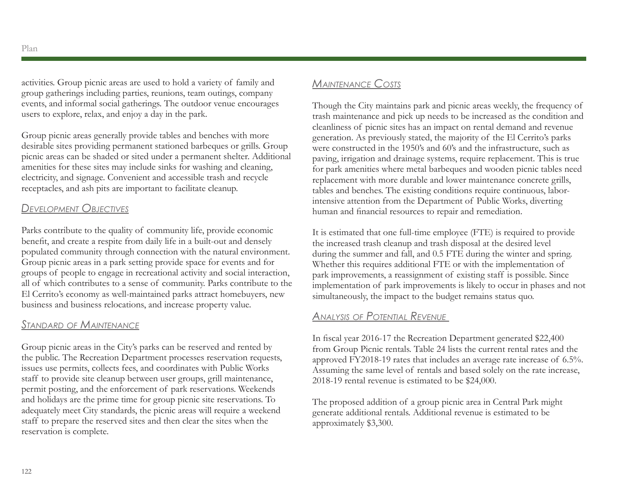activities. Group picnic areas are used to hold a variety of family and group gatherings including parties, reunions, team outings, company events, and informal social gatherings. The outdoor venue encourages users to explore, relax, and enjoy a day in the park.

Group picnic areas generally provide tables and benches with more desirable sites providing permanent stationed barbeques or grills. Group picnic areas can be shaded or sited under a permanent shelter. Additional amenities for these sites may include sinks for washing and cleaning, electricity, and signage. Convenient and accessible trash and recycle receptacles, and ash pits are important to facilitate cleanup.

# *Development Objectives*

Parks contribute to the quality of community life, provide economic benefit, and create a respite from daily life in a built-out and densely populated community through connection with the natural environment. Group picnic areas in a park setting provide space for events and for groups of people to engage in recreational activity and social interaction, all of which contributes to a sense of community. Parks contribute to the El Cerrito's economy as well-maintained parks attract homebuyers, new business and business relocations, and increase property value.

### *Standard of Maintenance*

Group picnic areas in the City's parks can be reserved and rented by the public. The Recreation Department processes reservation requests, issues use permits, collects fees, and coordinates with Public Works staff to provide site cleanup between user groups, grill maintenance, permit posting, and the enforcement of park reservations. Weekends and holidays are the prime time for group picnic site reservations. To adequately meet City standards, the picnic areas will require a weekend staff to prepare the reserved sites and then clear the sites when the reservation is complete.

# *Maintenance Costs*

Though the City maintains park and picnic areas weekly, the frequency of trash maintenance and pick up needs to be increased as the condition and cleanliness of picnic sites has an impact on rental demand and revenue generation. As previously stated, the majority of the El Cerrito's parks were constructed in the 1950's and 60's and the infrastructure, such as paving, irrigation and drainage systems, require replacement. This is true for park amenities where metal barbeques and wooden picnic tables need replacement with more durable and lower maintenance concrete grills, tables and benches. The existing conditions require continuous, laborintensive attention from the Department of Public Works, diverting human and financial resources to repair and remediation.

It is estimated that one full-time employee (FTE) is required to provide the increased trash cleanup and trash disposal at the desired level during the summer and fall, and 0.5 FTE during the winter and spring. Whether this requires additional FTE or with the implementation of park improvements, a reassignment of existing staff is possible. Since implementation of park improvements is likely to occur in phases and not simultaneously, the impact to the budget remains status quo.

# *Analysis of Potential Revenue*

In fiscal year 2016-17 the Recreation Department generated \$22,400 from Group Picnic rentals. Table 24 lists the current rental rates and the approved FY2018-19 rates that includes an average rate increase of 6.5%. Assuming the same level of rentals and based solely on the rate increase, 2018-19 rental revenue is estimated to be \$24,000.

The proposed addition of a group picnic area in Central Park might generate additional rentals. Additional revenue is estimated to be approximately \$3,300.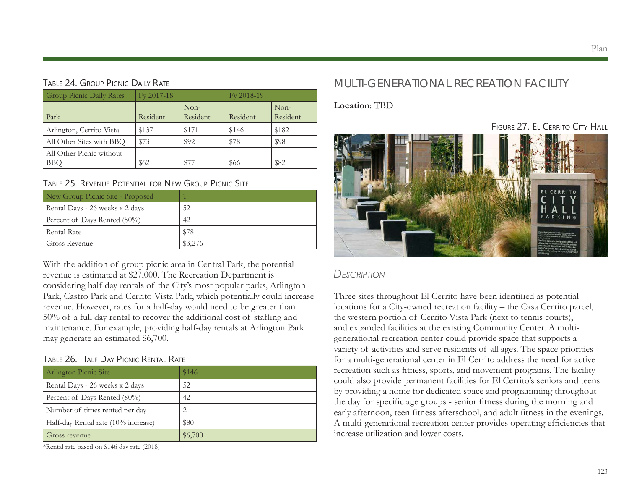#### Plan

#### Table 24. Group Picnic Daily Rate

| <b>Group Picnic Daily Rates</b>        | $Fv 2017-18$ |                  | Fy 2018-19 |                  |
|----------------------------------------|--------------|------------------|------------|------------------|
| Park                                   | Resident     | Non-<br>Resident | Resident   | Non-<br>Resident |
| Arlington, Cerrito Vista               | \$137        | \$171            | \$146      | \$182            |
| All Other Sites with BBQ               | \$73         | \$92             | \$78       | \$98             |
| All Other Picnic without<br><b>BBO</b> | \$62         | \$77             | \$66       | \$82             |

#### Table 25. Revenue Potential for New Group Picnic Site

| New Group Picnic Site - Proposed |         |
|----------------------------------|---------|
| Rental Days - 26 weeks x 2 days  | 52      |
| Percent of Days Rented (80%)     | 42      |
| Rental Rate                      | \$78    |
| Gross Revenue                    | \$3,276 |

With the addition of group picnic area in Central Park, the potential revenue is estimated at \$27,000. The Recreation Department is considering half-day rentals of the City's most popular parks, Arlington Park, Castro Park and Cerrito Vista Park, which potentially could increase revenue. However, rates for a half-day would need to be greater than 50% of a full day rental to recover the additional cost of staffing and maintenance. For example, providing half-day rentals at Arlington Park may generate an estimated \$6,700.

#### Table 26. Half Day Picnic Rental Rate

| Arlington Picnic Site               | \$146   |
|-------------------------------------|---------|
| Rental Days - 26 weeks x 2 days     | 52      |
| Percent of Days Rented (80%)        | 42      |
| Number of times rented per day      |         |
| Half-day Rental rate (10% increase) | \$80    |
| Gross revenue                       | \$6,700 |

\*Rental rate based on \$146 day rate (2018)

# MULTI-GENERATIONAL RECREATION FACILITY

#### **Location**: TBD

FIGURE 27. EL CERRITO CITY HALL



### *Description*

Three sites throughout El Cerrito have been identified as potential locations for a City-owned recreation facility – the Casa Cerrito parcel, the western portion of Cerrito Vista Park (next to tennis courts), and expanded facilities at the existing Community Center. A multigenerational recreation center could provide space that supports a variety of activities and serve residents of all ages. The space priorities for a multi-generational center in El Cerrito address the need for active recreation such as fitness, sports, and movement programs. The facility could also provide permanent facilities for El Cerrito's seniors and teens by providing a home for dedicated space and programming throughout the day for specific age groups - senior fitness during the morning and early afternoon, teen fitness afterschool, and adult fitness in the evenings. A multi-generational recreation center provides operating efficiencies that increase utilization and lower costs.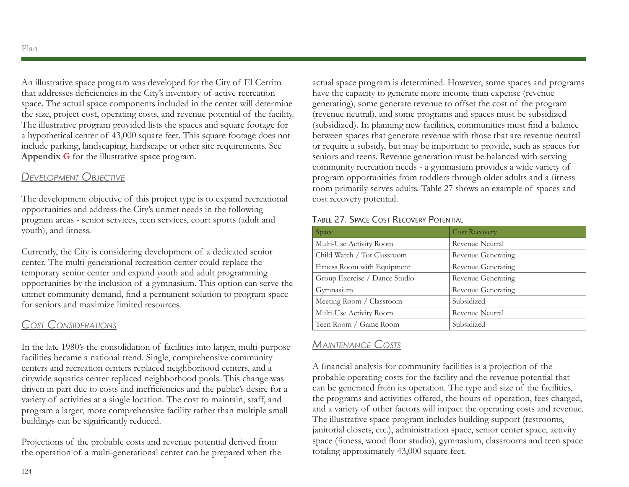An illustrative space program was developed for the City of El Cerrito that addresses deficiencies in the City's inventory of active recreation space. The actual space components included in the center will determine the size, project cost, operating costs, and revenue potential of the facility. The illustrative program provided lists the spaces and square footage for a hypothetical center of 43,000 square feet. This square footage does not include parking, landscaping, hardscape or other site requirements. See **Appendix G** for the illustrative space program.

### *Development Objective*

The development objective of this project type is to expand recreational opportunities and address the City's unmet needs in the following program areas - senior services, teen services, court sports (adult and youth), and fitness.

Currently, the City is considering development of a dedicated senior center. The multi-generational recreation center could replace the temporary senior center and expand youth and adult programming opportunities by the inclusion of a gymnasium. This option can serve the unmet community demand, find a permanent solution to program space for seniors and maximize limited resources.

# *Cost Considerations*

In the late 1980's the consolidation of facilities into larger, multi-purpose facilities became a national trend. Single, comprehensive community centers and recreation centers replaced neighborhood centers, and a citywide aquatics center replaced neighborhood pools. This change was driven in part due to costs and inefficiencies and the public's desire for a variety of activities at a single location. The cost to maintain, staff, and program a larger, more comprehensive facility rather than multiple small buildings can be significantly reduced.

Projections of the probable costs and revenue potential derived from the operation of a multi-generational center can be prepared when the actual space program is determined. However, some spaces and programs have the capacity to generate more income than expense (revenue generating), some generate revenue to offset the cost of the program (revenue neutral), and some programs and spaces must be subsidized (subsidized). In planning new facilities, communities must find a balance between spaces that generate revenue with those that are revenue neutral or require a subsidy, but may be important to provide, such as spaces for seniors and teens. Revenue generation must be balanced with serving community recreation needs - a gymnasium provides a wide variety of program opportunities from toddlers through older adults and a fitness room primarily serves adults. Table 27 shows an example of spaces and cost recovery potential.

#### Table 27. Space Cost Recovery Potential

| Space                         | <b>Cost Recovery</b> |
|-------------------------------|----------------------|
| Multi-Use Activity Room       | Revenue Neutral      |
| Child Watch / Tot Classroom   | Revenue Generating   |
| Fitness Room with Equipment   | Revenue Generating   |
| Group Exercise / Dance Studio | Revenue Generating   |
| Gymnasium                     | Revenue Generating   |
| Meeting Room / Classroom      | Subsidized           |
| Multi-Use Activity Room       | Revenue Neutral      |
| Teen Room / Game Room         | Subsidized           |

# *Maintenance Costs*

A financial analysis for community facilities is a projection of the probable operating costs for the facility and the revenue potential that can be generated from its operation. The type and size of the facilities, the programs and activities offered, the hours of operation, fees charged, and a variety of other factors will impact the operating costs and revenue. The illustrative space program includes building support (restrooms, janitorial closets, etc.), administration space, senior center space, activity space (fitness, wood floor studio), gymnasium, classrooms and teen space totaling approximately 43,000 square feet.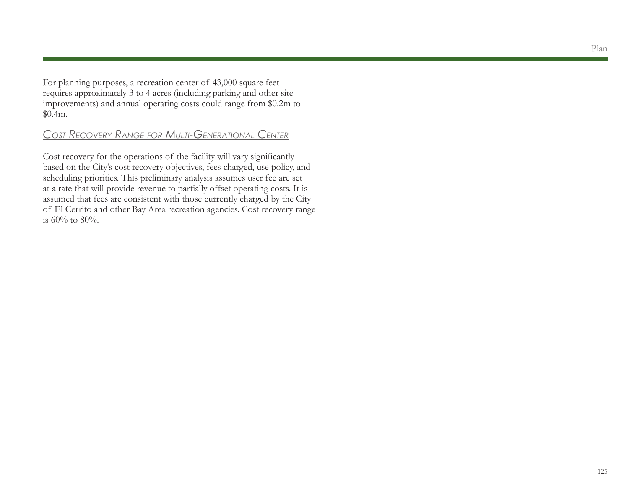For planning purposes, a recreation center of 43,000 square feet requires approximately 3 to 4 acres (including parking and other site improvements) and annual operating costs could range from \$0.2m to \$0.4m.

# *Cost Recovery Range for Multi-Generational Center*

Cost recovery for the operations of the facility will vary significantly based on the City's cost recovery objectives, fees charged, use policy, and scheduling priorities. This preliminary analysis assumes user fee are set at a rate that will provide revenue to partially offset operating costs. It is assumed that fees are consistent with those currently charged by the City of El Cerrito and other Bay Area recreation agencies. Cost recovery range is  $60\%$  to  $80\%$ .